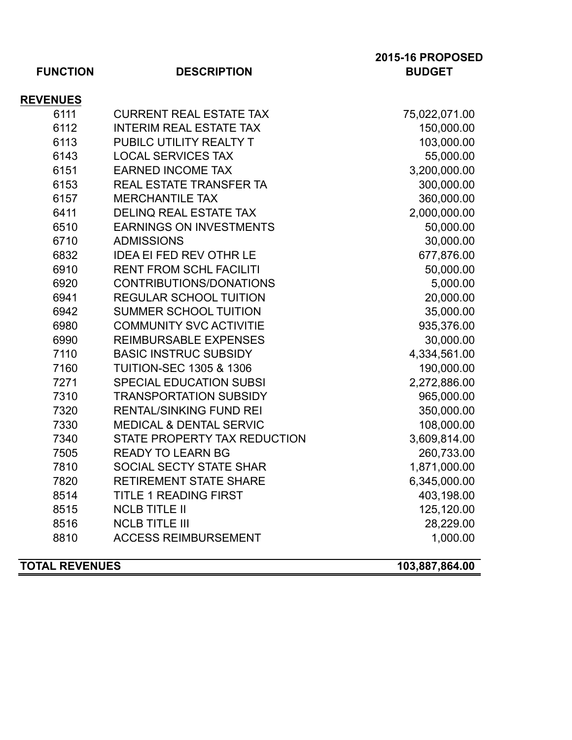| <b>FUNCTION</b> | <b>DESCRIPTION</b>                 | <b>2015-16 PROPOSED</b><br><b>BUDGET</b> |
|-----------------|------------------------------------|------------------------------------------|
| <b>REVENUES</b> |                                    |                                          |
| 6111            | <b>CURRENT REAL ESTATE TAX</b>     | 75,022,071.00                            |
| 6112            | <b>INTERIM REAL ESTATE TAX</b>     | 150,000.00                               |
| 6113            | PUBILC UTILITY REALTY T            | 103,000.00                               |
| 6143            | <b>LOCAL SERVICES TAX</b>          | 55,000.00                                |
| 6151            | <b>EARNED INCOME TAX</b>           | 3,200,000.00                             |
| 6153            | <b>REAL ESTATE TRANSFER TA</b>     | 300,000.00                               |
| 6157            | <b>MERCHANTILE TAX</b>             | 360,000.00                               |
| 6411            | DELINQ REAL ESTATE TAX             | 2,000,000.00                             |
| 6510            | <b>EARNINGS ON INVESTMENTS</b>     | 50,000.00                                |
| 6710            | <b>ADMISSIONS</b>                  | 30,000.00                                |
| 6832            | <b>IDEA EI FED REV OTHR LE</b>     | 677,876.00                               |
| 6910            | <b>RENT FROM SCHL FACILITI</b>     | 50,000.00                                |
| 6920            | CONTRIBUTIONS/DONATIONS            | 5,000.00                                 |
| 6941            | <b>REGULAR SCHOOL TUITION</b>      | 20,000.00                                |
| 6942            | <b>SUMMER SCHOOL TUITION</b>       | 35,000.00                                |
| 6980            | <b>COMMUNITY SVC ACTIVITIE</b>     | 935,376.00                               |
| 6990            | <b>REIMBURSABLE EXPENSES</b>       | 30,000.00                                |
| 7110            | <b>BASIC INSTRUC SUBSIDY</b>       | 4,334,561.00                             |
| 7160            | <b>TUITION-SEC 1305 &amp; 1306</b> | 190,000.00                               |
| 7271            | <b>SPECIAL EDUCATION SUBSI</b>     | 2,272,886.00                             |
| 7310            | <b>TRANSPORTATION SUBSIDY</b>      | 965,000.00                               |
| 7320            | <b>RENTAL/SINKING FUND REI</b>     | 350,000.00                               |
| 7330            | <b>MEDICAL &amp; DENTAL SERVIC</b> | 108,000.00                               |
| 7340            | STATE PROPERTY TAX REDUCTION       | 3,609,814.00                             |
| 7505            | <b>READY TO LEARN BG</b>           | 260,733.00                               |
| 7810            | SOCIAL SECTY STATE SHAR            | 1,871,000.00                             |
| 7820            | <b>RETIREMENT STATE SHARE</b>      | 6,345,000.00                             |
| 8514            | <b>TITLE 1 READING FIRST</b>       | 403,198.00                               |
| 8515            | <b>NCLB TITLE II</b>               | 125,120.00                               |
| 8516            | <b>NCLB TITLE III</b>              | 28,229.00                                |
| 8810            | <b>ACCESS REIMBURSEMENT</b>        | 1,000.00                                 |

**TOTAL REVENUES 103,887,864.00**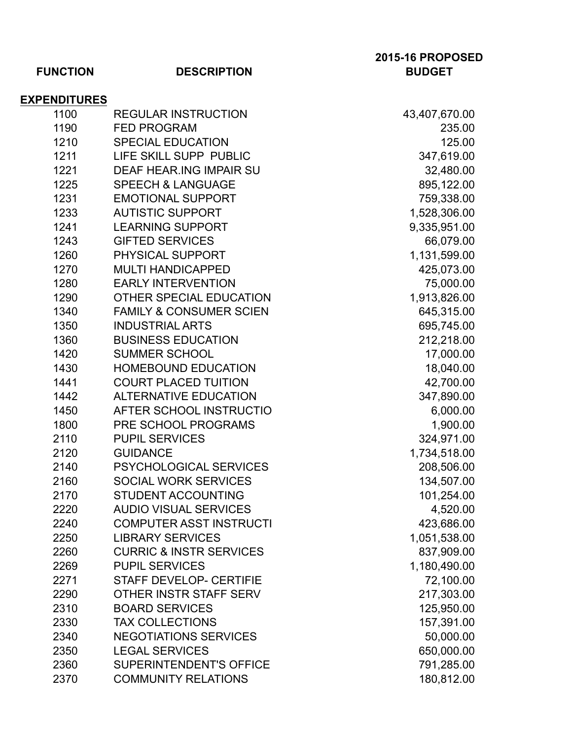| <b>EXPENDITURES</b><br>1100 | <b>REGULAR INSTRUCTION</b>         | 43,407,670.00 |
|-----------------------------|------------------------------------|---------------|
| 1190                        | <b>FED PROGRAM</b>                 | 235.00        |
| 1210                        | <b>SPECIAL EDUCATION</b>           | 125.00        |
| 1211                        | LIFE SKILL SUPP PUBLIC             | 347,619.00    |
| 1221                        | <b>DEAF HEAR.ING IMPAIR SU</b>     | 32,480.00     |
| 1225                        | <b>SPEECH &amp; LANGUAGE</b>       | 895,122.00    |
| 1231                        | <b>EMOTIONAL SUPPORT</b>           | 759,338.00    |
| 1233                        | <b>AUTISTIC SUPPORT</b>            | 1,528,306.00  |
| 1241                        | <b>LEARNING SUPPORT</b>            | 9,335,951.00  |
| 1243                        | <b>GIFTED SERVICES</b>             | 66,079.00     |
| 1260                        | PHYSICAL SUPPORT                   | 1,131,599.00  |
| 1270                        | <b>MULTI HANDICAPPED</b>           | 425,073.00    |
| 1280                        | <b>EARLY INTERVENTION</b>          | 75,000.00     |
| 1290                        | OTHER SPECIAL EDUCATION            | 1,913,826.00  |
| 1340                        | <b>FAMILY &amp; CONSUMER SCIEN</b> | 645,315.00    |
| 1350                        | <b>INDUSTRIAL ARTS</b>             | 695,745.00    |
| 1360                        | <b>BUSINESS EDUCATION</b>          | 212,218.00    |
| 1420                        | <b>SUMMER SCHOOL</b>               | 17,000.00     |
| 1430                        | <b>HOMEBOUND EDUCATION</b>         | 18,040.00     |
| 1441                        | <b>COURT PLACED TUITION</b>        | 42,700.00     |
| 1442                        | <b>ALTERNATIVE EDUCATION</b>       | 347,890.00    |
| 1450                        | AFTER SCHOOL INSTRUCTIO            | 6,000.00      |
| 1800                        | PRE SCHOOL PROGRAMS                | 1,900.00      |
| 2110                        | <b>PUPIL SERVICES</b>              | 324,971.00    |
| 2120                        | <b>GUIDANCE</b>                    | 1,734,518.00  |
| 2140                        | <b>PSYCHOLOGICAL SERVICES</b>      | 208,506.00    |
| 2160                        | <b>SOCIAL WORK SERVICES</b>        | 134,507.00    |
| 2170                        | <b>STUDENT ACCOUNTING</b>          | 101,254.00    |
| 2220                        | <b>AUDIO VISUAL SERVICES</b>       | 4,520.00      |
| 2240                        | <b>COMPUTER ASST INSTRUCTI</b>     | 423,686.00    |
| 2250                        | <b>LIBRARY SERVICES</b>            | 1,051,538.00  |
| 2260                        | <b>CURRIC &amp; INSTR SERVICES</b> | 837,909.00    |
| 2269                        | <b>PUPIL SERVICES</b>              | 1,180,490.00  |
| 2271                        | <b>STAFF DEVELOP- CERTIFIE</b>     | 72,100.00     |
| 2290                        | OTHER INSTR STAFF SERV             | 217,303.00    |
| 2310                        | <b>BOARD SERVICES</b>              | 125,950.00    |
| 2330                        | <b>TAX COLLECTIONS</b>             | 157,391.00    |
| 2340                        | <b>NEGOTIATIONS SERVICES</b>       | 50,000.00     |
| 2350                        | <b>LEGAL SERVICES</b>              | 650,000.00    |
| 2360                        | <b>SUPERINTENDENT'S OFFICE</b>     | 791,285.00    |
| 2370                        | <b>COMMUNITY RELATIONS</b>         | 180,812.00    |

**2015-16 PROPOSED**

## **FUNCTION DESCRIPTION BUDGET**